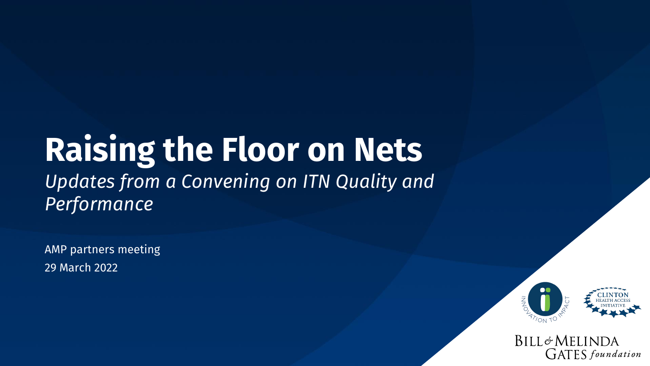# **Raising the Floor on Nets**  *Updates from a Convening on ITN Quality and Performance*

AMP partners meeting 29 March 2022



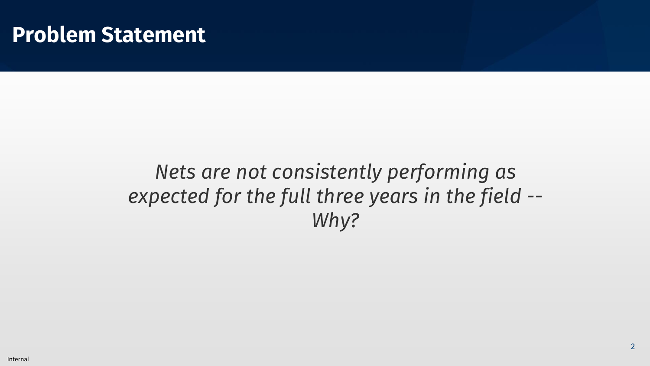#### **Problem Statement**

### *Nets are not consistently performing as expected for the full three years in the field -- Why?*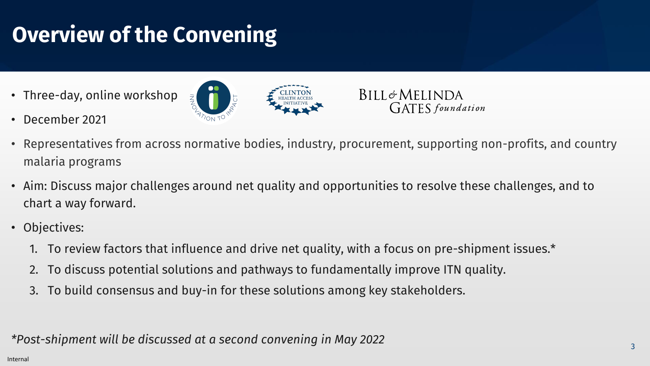# **Overview of the Convening**

• Three-day, online workshop





- December 2021
- Representatives from across normative bodies, industry, procurement, supporting non-profits, and country malaria programs
- Aim: Discuss major challenges around net quality and opportunities to resolve these challenges, and to chart a way forward.
- Objectives:
	- 1. To review factors that influence and drive net quality, with a focus on pre-shipment issues.\*
	- 2. To discuss potential solutions and pathways to fundamentally improve ITN quality.
	- 3. To build consensus and buy-in for these solutions among key stakeholders.

*\*Post-shipment will be discussed at a second convening in May 2022*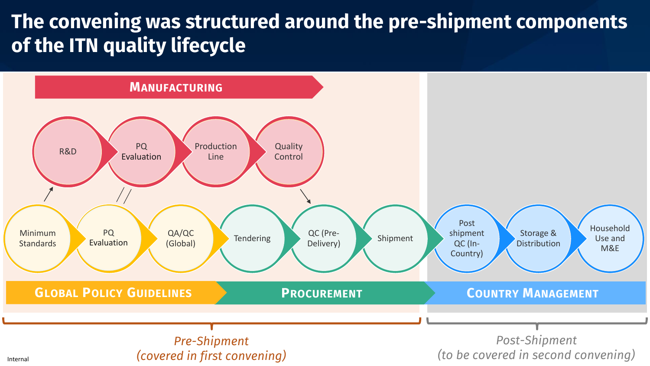#### **The convening was structured around the pre-shipment components of the ITN quality lifecycle**

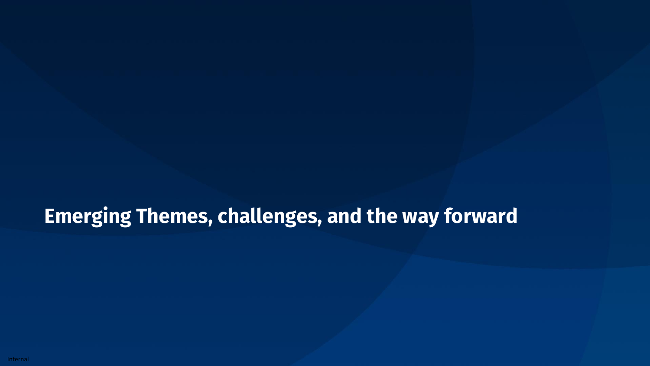### **Emerging Themes, challenges, and the way forward**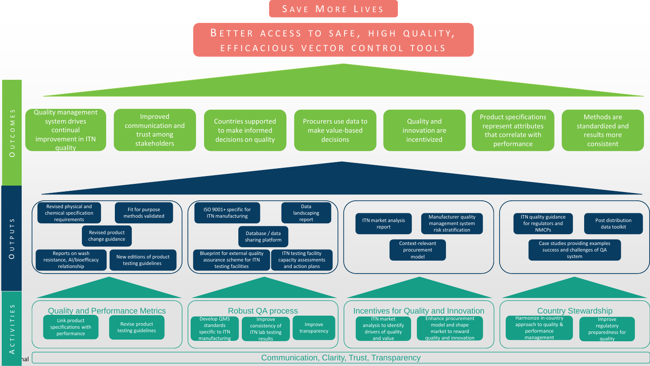#### SAVE MORE LIVES

#### BETTER ACCESS TO SAFE, HIGH QUALITY, EFFICACIOUS VECTOR CONTROL TOOLS

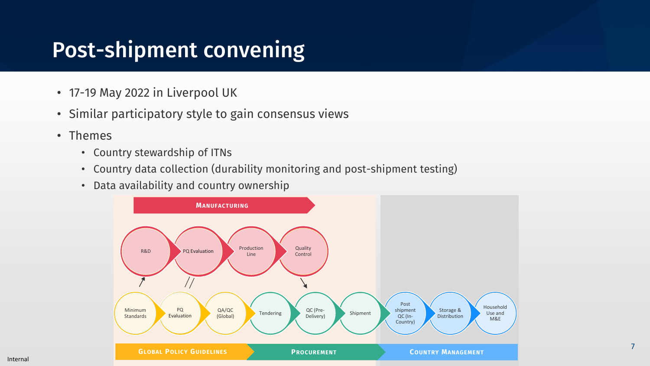## Post-shipment convening

- 17-19 May 2022 in Liverpool UK
- Similar participatory style to gain consensus views
- Themes
	- Country stewardship of ITNs
	- Country data collection (durability monitoring and post-shipment testing)
	- Data availability and country ownership